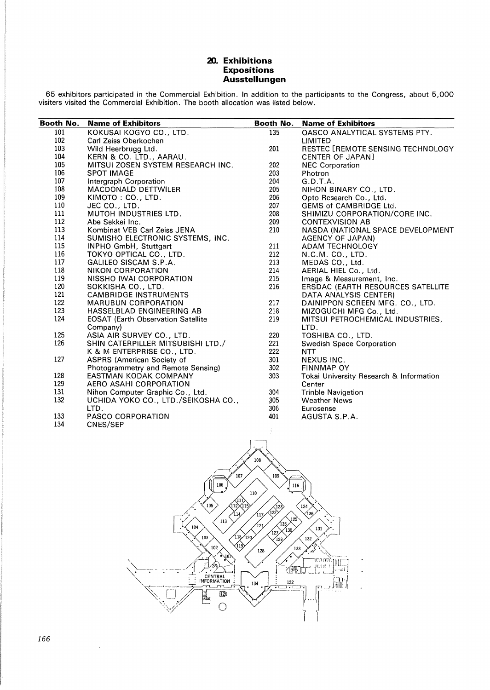## **20. Exhibitions Expositions Ausstellungen**

65 exhibitors participated in the Commercial Exhibition. In addition to the participants to the Congress, about 5,000 visiters visited the Commercial Exhibition. The booth allocation was listed below.

| Booth No. | <b>Name of Exhibitors</b>                  | Booth No. | <b>Name of Exhibitors</b>                |
|-----------|--------------------------------------------|-----------|------------------------------------------|
| 101       | KOKUSAI KOGYO CO., LTD.                    | 135       | QASCO ANALYTICAL SYSTEMS PTY.            |
| 102       | Carl Zeiss Oberkochen                      |           | LIMITED                                  |
| 103       | Wild Heerbrugg Ltd.                        | 201       | RESTEC [REMOTE SENSING TECHNOLOGY        |
| 104       | KERN & CO. LTD., AARAU.                    |           | <b>CENTER OF JAPAN]</b>                  |
| 105       | MITSUI ZOSEN SYSTEM RESEARCH INC.          | 202       | <b>NEC Corporation</b>                   |
| 106       | <b>SPOT IMAGE</b>                          | 203       | Photron                                  |
| 107       | Intergraph Corporation                     | 204       | G.D.T.A.                                 |
| 108       | <b>MACDONALD DETTWILER</b>                 | 205       | NIHON BINARY CO., LTD.                   |
| 109       | KIMOTO: CO., LTD.                          | 206       | Opto Research Co., Ltd.                  |
| 110       | JEC CO., LTD.                              | 207       | GEMS of CAMBRIDGE Ltd.                   |
| 111       | MUTOH INDUSTRIES LTD.                      | 208       | SHIMIZU CORPORATION/CORE INC.            |
| 112       | Abe Sekkei Inc.                            | 209       | <b>CONTEXVISION AB</b>                   |
| 113       | Kombinat VEB Carl Zeiss JENA               | 210       | NASDA (NATIONAL SPACE DEVELOPMENT        |
| 114       | SUMISHO ELECTRONIC SYSTEMS, INC.           |           | AGENCY OF JAPAN)                         |
| 115       | INPHO GmbH, Stuttgart                      | 211       | <b>ADAM TECHNOLOGY</b>                   |
| 116       | TOKYO OPTICAL CO., LTD.                    | 212       | N.C.M. CO., LTD.                         |
| 117       | GALILEO SISCAM S.P.A.                      | 213       | MEDAS CO., Ltd.                          |
| 118       | NIKON CORPORATION                          | 214       | AERIAL HIEL Co., Ltd.                    |
| 119       | NISSHO IWAI CORPORATION                    | 215       | Image & Measurement, Inc.                |
| 120       | SOKKISHA CO., LTD.                         | 216       | <b>ERSDAC (EARTH RESOURCES SATELLITE</b> |
| 121       | <b>CAMBRIDGE INSTRUMENTS</b>               |           | DATA ANALYSIS CENTER)                    |
| 122       | <b>MARUBUN CORPORATION</b>                 | 217       | DAINIPPON SCREEN MFG. CO., LTD.          |
| 123       | HASSELBLAD ENGINEERING AB                  | 218       | MIZOGUCHI MFG Co., Ltd.                  |
| 124       | <b>EOSAT (Earth Observation Satellite)</b> | 219       | MITSUI PETROCHEMICAL INDUSTRIES,         |
|           | Company)                                   |           | LTD.                                     |
| 125       | ASIA AIR SURVEY CO., LTD.                  | 220       | TOSHIBA CO., LTD.                        |
| 126       | SHIN CATERPILLER MITSUBISHI LTD./          | 221       | Swedish Space Corporation                |
|           | K & M ENTERPRISE CO., LTD.                 | 222       | <b>NTT</b>                               |
| 127       | <b>ASPRS (American Society of</b>          | 301       | <b>NEXUS INC.</b>                        |
|           | Photogrammetry and Remote Sensing)         | 302       | <b>FINNMAP OY</b>                        |
| 128       | EASTMAN KODAK COMPANY                      | 303       | Tokai University Research & Information  |
| 129       | AERO ASAHI CORPORATION                     |           | Center                                   |
| 131       | Nihon Computer Graphic Co., Ltd.           | 304       | <b>Trinble Navigetion</b>                |
| 132       | UCHIDA YOKO CO., LTD./SEIKOSHA CO.,        | 305       | <b>Weather News</b>                      |
|           | LTD.                                       | 306       | Eurosense                                |
| 133       | PASCO CORPORATION                          | 401       | AGUSTA S.P.A.                            |
| 134       | CNES/SEP                                   |           |                                          |